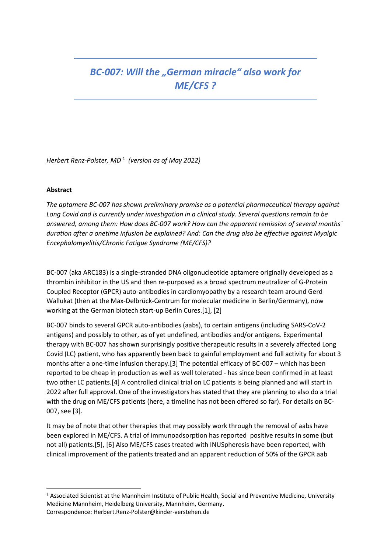# *BC-007: Will the "German miracle" also work for ME/CFS ?*

*Herbert Renz-Polster, MD* <sup>1</sup>  *(version as of May 2022)*

## **Abstract**

**.** 

*The aptamere BC-007 has shown preliminary promise as a potential pharmaceutical therapy against Long Covid and is currently under investigation in a clinical study. Several questions remain to be answered, among them: How does BC-007 work? How can the apparent remission of several months´ duration after a onetime infusion be explained? And: Can the drug also be effective against Myalgic Encephalomyelitis/Chronic Fatigue Syndrome (ME/CFS)?* 

BC-007 (aka ARC183) is a single-stranded DNA oligonucleotide aptamere originally developed as a thrombin inhibitor in the US and then re-purposed as a broad spectrum neutralizer of G-Protein Coupled Receptor (GPCR) auto-antibodies in cardiomyopathy by a research team around Gerd Wallukat (then at the Max-Delbrück-Centrum for molecular medicine in Berlin/Germany), now working at the German biotech start-up Berlin Cures.[1], [2]

BC-007 binds to several GPCR auto-antibodies (aabs), to certain antigens (including SARS-CoV-2 antigens) and possibly to other, as of yet undefined, antibodies and/or antigens. Experimental therapy with BC-007 has shown surprisingly positive therapeutic results in a severely affected Long Covid (LC) patient, who has apparently been back to gainful employment and full activity for about 3 months after a one-time infusion therapy.[3] The potential efficacy of BC-007 – which has been reported to be cheap in production as well as well tolerated - has since been confirmed in at least two other LC patients.[4] A controlled clinical trial on LC patients is being planned and will start in 2022 after full approval. One of the investigators has stated that they are planning to also do a trial with the drug on ME/CFS patients (here, a timeline has not been offered so far). For details on BC-007, see [3].

It may be of note that other therapies that may possibly work through the removal of aabs have been explored in ME/CFS. A trial of immunoadsorption has reported positive results in some (but not all) patients.[5], [6] Also ME/CFS cases treated with INUSpheresis have been reported, with clinical improvement of the patients treated and an apparent reduction of 50% of the GPCR aab

<sup>1</sup> Associated Scientist at the Mannheim Institute of Public Health, Social and Preventive Medicine, University Medicine Mannheim, Heidelberg University, Mannheim, Germany. Correspondence: Herbert.Renz-Polster@kinder-verstehen.de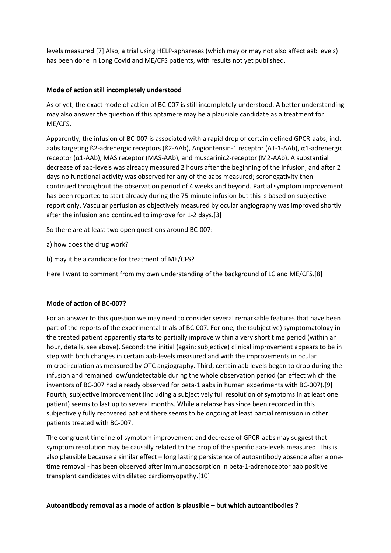levels measured.[7] Also, a trial using HELP-aphareses (which may or may not also affect aab levels) has been done in Long Covid and ME/CFS patients, with results not yet published.

## **Mode of action still incompletely understood**

As of yet, the exact mode of action of BC-007 is still incompletely understood. A better understanding may also answer the question if this aptamere may be a plausible candidate as a treatment for ME/CFS.

Apparently, the infusion of BC-007 is associated with a rapid drop of certain defined GPCR-aabs, incl. aabs targeting ß2-adrenergic receptors (ß2-AAb), Angiontensin-1 receptor (AT-1-AAb), α1-adrenergic receptor (α1-AAb), MAS receptor (MAS-AAb), and muscarinic2-receptor (M2-AAb). A substantial decrease of aab-levels was already measured 2 hours after the beginning of the infusion, and after 2 days no functional activity was observed for any of the aabs measured; seronegativity then continued throughout the observation period of 4 weeks and beyond. Partial symptom improvement has been reported to start already during the 75-minute infusion but this is based on subjective report only. Vascular perfusion as objectively measured by ocular angiography was improved shortly after the infusion and continued to improve for 1-2 days.[3]

So there are at least two open questions around BC-007:

a) how does the drug work?

b) may it be a candidate for treatment of ME/CFS?

Here I want to comment from my own understanding of the background of LC and ME/CFS.[8]

## **Mode of action of BC-007?**

For an answer to this question we may need to consider several remarkable features that have been part of the reports of the experimental trials of BC-007. For one, the (subjective) symptomatology in the treated patient apparently starts to partially improve within a very short time period (within an hour, details, see above). Second: the initial (again: subjective) clinical improvement appears to be in step with both changes in certain aab-levels measured and with the improvements in ocular microcirculation as measured by OTC angiography. Third, certain aab levels began to drop during the infusion and remained low/undetectable during the whole observation period (an effect which the inventors of BC-007 had already observed for beta-1 aabs in human experiments with BC-007).[9] Fourth, subjective improvement (including a subjectively full resolution of symptoms in at least one patient) seems to last up to several months. While a relapse has since been recorded in this subjectively fully recovered patient there seems to be ongoing at least partial remission in other patients treated with BC-007.

The congruent timeline of symptom improvement and decrease of GPCR-aabs may suggest that symptom resolution may be causally related to the drop of the specific aab-levels measured. This is also plausible because a similar effect – long lasting persistence of autoantibody absence after a onetime removal - has been observed after immunoadsorption in beta-1-adrenoceptor aab positive transplant candidates with dilated cardiomyopathy.[10]

## **Autoantibody removal as a mode of action is plausible – but which autoantibodies ?**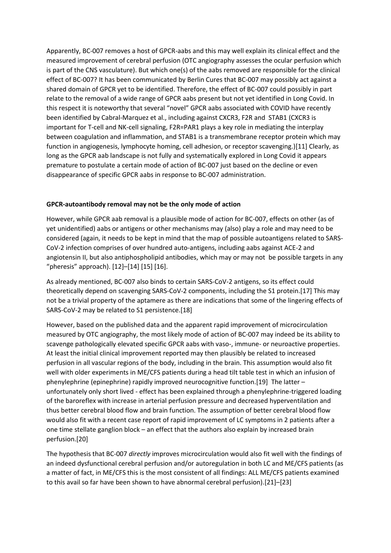Apparently, BC-007 removes a host of GPCR-aabs and this may well explain its clinical effect and the measured improvement of cerebral perfusion (OTC angiography assesses the ocular perfusion which is part of the CNS vasculature). But which one(s) of the aabs removed are responsible for the clinical effect of BC-007? It has been communicated by Berlin Cures that BC-007 may possibly act against a shared domain of GPCR yet to be identified. Therefore, the effect of BC-007 could possibly in part relate to the removal of a wide range of GPCR aabs present but not yet identified in Long Covid. In this respect it is noteworthy that several "novel" GPCR aabs associated with COVID have recently been identified by Cabral-Marquez et al., including against CXCR3, F2R and STAB1 (CXCR3 is important for T-cell and NK-cell signaling, F2R=PAR1 plays a key role in mediating the interplay between coagulation and inflammation, and STAB1 is a transmembrane receptor protein which may function in angiogenesis, lymphocyte homing, cell adhesion, or receptor scavenging.)[11] Clearly, as long as the GPCR aab landscape is not fully and systematically explored in Long Covid it appears premature to postulate a certain mode of action of BC-007 just based on the decline or even disappearance of specific GPCR aabs in response to BC-007 administration.

## **GPCR-autoantibody removal may not be the only mode of action**

However, while GPCR aab removal is a plausible mode of action for BC-007, effects on other (as of yet unidentified) aabs or antigens or other mechanisms may (also) play a role and may need to be considered (again, it needs to be kept in mind that the map of possible autoantigens related to SARS-CoV-2 infection comprises of over hundred auto-antigens, including aabs against ACE-2 and angiotensin II, but also antiphospholipid antibodies, which may or may not be possible targets in any "pheresis" approach).  $[12]$ – $[14]$   $[15]$   $[16]$ .

As already mentioned, BC-007 also binds to certain SARS-CoV-2 antigens, so its effect could theoretically depend on scavenging SARS-CoV-2 components, including the S1 protein.[17] This may not be a trivial property of the aptamere as there are indications that some of the lingering effects of SARS-CoV-2 may be related to S1 persistence.[18]

However, based on the published data and the apparent rapid improvement of microcirculation measured by OTC angiography, the most likely mode of action of BC-007 may indeed be its ability to scavenge pathologically elevated specific GPCR aabs with vaso-, immune- or neuroactive properties. At least the initial clinical improvement reported may then plausibly be related to increased perfusion in all vascular regions of the body, including in the brain. This assumption would also fit well with older experiments in ME/CFS patients during a head tilt table test in which an infusion of phenylephrine (epinephrine) rapidly improved neurocognitive function.[19] The latter – unfortunately only short lived - effect has been explained through a phenylephrine-triggered loading of the baroreflex with increase in arterial perfusion pressure and decreased hyperventilation and thus better cerebral blood flow and brain function. The assumption of better cerebral blood flow would also fit with a recent case report of rapid improvement of LC symptoms in 2 patients after a one time stellate ganglion block – an effect that the authors also explain by increased brain perfusion.[20]

The hypothesis that BC-007 *directly* improves microcirculation would also fit well with the findings of an indeed dysfunctional cerebral perfusion and/or autoregulation in both LC and ME/CFS patients (as a matter of fact, in ME/CFS this is the most consistent of all findings: ALL ME/CFS patients examined to this avail so far have been shown to have abnormal cerebral perfusion).[21]–[23]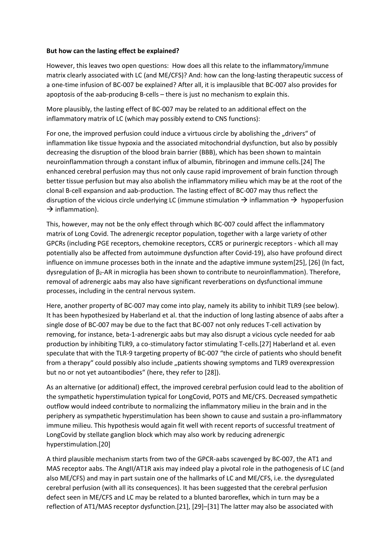## **But how can the lasting effect be explained?**

However, this leaves two open questions: How does all this relate to the inflammatory/immune matrix clearly associated with LC (and ME/CFS)? And: how can the long-lasting therapeutic success of a one-time infusion of BC-007 be explained? After all, it is implausible that BC-007 also provides for apoptosis of the aab-producing B-cells – there is just no mechanism to explain this.

More plausibly, the lasting effect of BC-007 may be related to an additional effect on the inflammatory matrix of LC (which may possibly extend to CNS functions):

For one, the improved perfusion could induce a virtuous circle by abolishing the "drivers" of inflammation like tissue hypoxia and the associated mitochondrial dysfunction, but also by possibly decreasing the disruption of the blood brain barrier (BBB), which has been shown to maintain neuroinflammation through a constant influx of albumin, fibrinogen and immune cells.[24] The enhanced cerebral perfusion may thus not only cause rapid improvement of brain function through better tissue perfusion but may also abolish the inflammatory milieu which may be at the root of the clonal B-cell expansion and aab-production. The lasting effect of BC-007 may thus reflect the disruption of the vicious circle underlying LC (immune stimulation  $\rightarrow$  inflammation  $\rightarrow$  hypoperfusion  $\rightarrow$  inflammation).

This, however, may not be the only effect through which BC-007 could affect the inflammatory matrix of Long Covid. The adrenergic receptor population, together with a large variety of other GPCRs (including PGE receptors, chemokine receptors, CCR5 or purinergic receptors - which all may potentially also be affected from autoimmune dysfunction after Covid-19), also have profound direct influence on immune processes both in the innate and the adaptive immune system[25], [26] (In fact, dysregulation of  $β<sub>2</sub>$ -AR in microglia has been shown to contribute to neuroinflammation). Therefore, removal of adrenergic aabs may also have significant reverberations on dysfunctional immune processes, including in the central nervous system.

Here, another property of BC-007 may come into play, namely its ability to inhibit TLR9 (see below). It has been hypothesized by Haberland et al. that the induction of long lasting absence of aabs after a single dose of BC-007 may be due to the fact that BC-007 not only reduces T-cell activation by removing, for instance, beta-1-adrenergic aabs but may also disrupt a vicious cycle needed for aab production by inhibiting TLR9, a co-stimulatory factor stimulating T-cells.[27] Haberland et al. even speculate that with the TLR-9 targeting property of BC-007 "the circle of patients who should benefit from a therapy" could possibly also include "patients showing symptoms and TLR9 overexpression but no or not yet autoantibodies" (here, they refer to [28]).

As an alternative (or additional) effect, the improved cerebral perfusion could lead to the abolition of the sympathetic hyperstimulation typical for LongCovid, POTS and ME/CFS. Decreased sympathetic outflow would indeed contribute to normalizing the inflammatory milieu in the brain and in the periphery as sympathetic hyperstimulation has been shown to cause and sustain a pro-inflammatory immune milieu. This hypothesis would again fit well with recent reports of successful treatment of LongCovid by stellate ganglion block which may also work by reducing adrenergic hyperstimulation.[20]

A third plausible mechanism starts from two of the GPCR-aabs scavenged by BC-007, the AT1 and MAS receptor aabs. The AngII/AT1R axis may indeed play a pivotal role in the pathogenesis of LC (and also ME/CFS) and may in part sustain one of the hallmarks of LC and ME/CFS, i.e. the dysregulated cerebral perfusion (with all its consequences). It has been suggested that the cerebral perfusion defect seen in ME/CFS and LC may be related to a blunted baroreflex, which in turn may be a reflection of AT1/MAS receptor dysfunction.[21], [29]–[31] The latter may also be associated with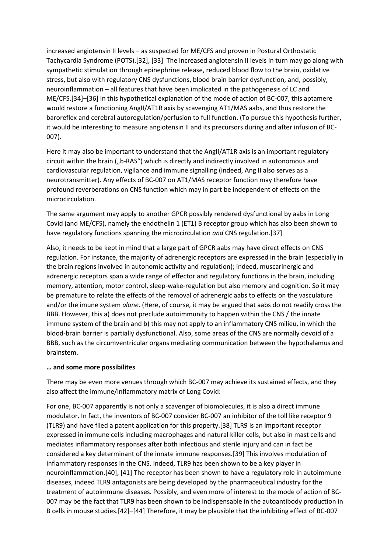increased angiotensin II levels – as suspected for ME/CFS and proven in Postural Orthostatic Tachycardia Syndrome (POTS).[32], [33] The increased angiotensin II levels in turn may go along with sympathetic stimulation through epinephrine release, reduced blood flow to the brain, oxidative stress, but also with regulatory CNS dysfunctions, blood brain barrier dysfunction, and, possibly, neuroinflammation – all features that have been implicated in the pathogenesis of LC and ME/CFS.[34]–[36] In this hypothetical explanation of the mode of action of BC-007, this aptamere would restore a functioning AngII/AT1R axis by scavenging AT1/MAS aabs, and thus restore the baroreflex and cerebral autoregulation/perfusion to full function. (To pursue this hypothesis further, it would be interesting to measure angiotensin II and its precursors during and after infusion of BC-007).

Here it may also be important to understand that the AngII/AT1R axis is an important regulatory circuit within the brain ("b-RAS") which is directly and indirectly involved in autonomous and cardiovascular regulation, vigilance and immune signalling (indeed, Ang II also serves as a neurotransmitter). Any effects of BC-007 on AT1/MAS receptor function may therefore have profound reverberations on CNS function which may in part be independent of effects on the microcirculation.

The same argument may apply to another GPCR possibly rendered dysfunctional by aabs in Long Covid (and ME/CFS), namely the endothelin 1 (ET1) B receptor group which has also been shown to have regulatory functions spanning the microcirculation *and* CNS regulation.[37]

Also, it needs to be kept in mind that a large part of GPCR aabs may have direct effects on CNS regulation. For instance, the majority of adrenergic receptors are expressed in the brain (especially in the brain regions involved in autonomic activity and regulation); indeed, muscarinergic and adrenergic receptors span a wide range of effector and regulatory functions in the brain, including memory, attention, motor control, sleep-wake-regulation but also memory and cognition. So it may be premature to relate the effects of the removal of adrenergic aabs to effects on the vasculature and/or the imune system *alone*. (Here, of course, it may be argued that aabs do not readily cross the BBB. However, this a) does not preclude autoimmunity to happen within the CNS / the innate immune system of the brain and b) this may not apply to an inflammatory CNS milieu, in which the blood-brain barrier is partially dysfunctional. Also, some areas of the CNS are normally devoid of a BBB, such as the circumventricular organs mediating communication between the hypothalamus and brainstem.

## **… and some more possibilites**

There may be even more venues through which BC-007 may achieve its sustained effects, and they also affect the immune/inflammatory matrix of Long Covid:

For one, BC-007 apparently is not only a scavenger of biomolecules, it is also a direct immune modulator. In fact, the inventors of BC-007 consider BC-007 an inhibitor of the toll like receptor 9 (TLR9) and have filed a patent application for this property.[38] TLR9 is an important receptor expressed in immune cells including macrophages and natural killer cells, but also in mast cells and mediates inflammatory responses after both infectious and sterile injury and can in fact be considered a key determinant of the innate immune responses.[39] This involves modulation of inflammatory responses in the CNS. Indeed, TLR9 has been shown to be a key player in neuroinflammation.[40], [41] The receptor has been shown to have a regulatory role in autoimmune diseases, indeed TLR9 antagonists are being developed by the pharmaceutical industry for the treatment of autoimmune diseases. Possibly, and even more of interest to the mode of action of BC-007 may be the fact that TLR9 has been shown to be indispensable in the autoantibody production in B cells in mouse studies.[42]–[44] Therefore, it may be plausible that the inhibiting effect of BC-007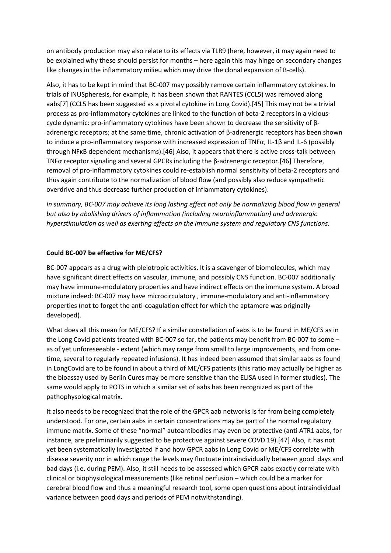on antibody production may also relate to its effects via TLR9 (here, however, it may again need to be explained why these should persist for months – here again this may hinge on secondary changes like changes in the inflammatory milieu which may drive the clonal expansion of B-cells).

Also, it has to be kept in mind that BC-007 may possibly remove certain inflammatory cytokines. In trials of INUSpheresis, for example, it has been shown that RANTES (CCL5) was removed along aabs[7] (CCL5 has been suggested as a pivotal cytokine in Long Covid).[45] This may not be a trivial process as pro-inflammatory cytokines are linked to the function of beta-2 receptors in a viciouscycle dynamic: pro-inflammatory cytokines have been shown to decrease the sensitivity of βadrenergic receptors; at the same time, chronic activation of  $\beta$ -adrenergic receptors has been shown to induce a pro-inflammatory response with increased expression of TNFα, IL-1β and IL-6 (possibly through NFκB dependent mechanisms).[46] Also, it appears that there is active cross-talk between TNFα receptor signaling and several GPCRs including the β-adrenergic receptor.[46] Therefore, removal of pro-inflammatory cytokines could re-establish normal sensitivity of beta-2 receptors and thus again contribute to the normalization of blood flow (and possibly also reduce sympathetic overdrive and thus decrease further production of inflammatory cytokines).

*In summary, BC-007 may achieve its long lasting effect not only be normalizing blood flow in general but also by abolishing drivers of inflammation (including neuroinflammation) and adrenergic hyperstimulation as well as exerting effects on the immune system and regulatory CNS functions.*

## **Could BC-007 be effective for ME/CFS?**

BC-007 appears as a drug with pleiotropic activities. It is a scavenger of biomolecules, which may have significant direct effects on vascular, immune, and possibly CNS function. BC-007 additionally may have immune-modulatory properties and have indirect effects on the immune system. A broad mixture indeed: BC-007 may have microcirculatory , immune-modulatory and anti-inflammatory properties (not to forget the anti-coagulation effect for which the aptamere was originally developed).

What does all this mean for ME/CFS? If a similar constellation of aabs is to be found in ME/CFS as in the Long Covid patients treated with BC-007 so far, the patients may benefit from BC-007 to some – as of yet unforeseeable - extent (which may range from small to large improvements, and from onetime, several to regularly repeated infusions). It has indeed been assumed that similar aabs as found in LongCovid are to be found in about a third of ME/CFS patients (this ratio may actually be higher as the bioassay used by Berlin Cures may be more sensitive than the ELISA used in former studies). The same would apply to POTS in which a similar set of aabs has been recognized as part of the pathophysological matrix.

It also needs to be recognized that the role of the GPCR aab networks is far from being completely understood. For one, certain aabs in certain concentrations may be part of the normal regulatory immune matrix. Some of these "normal" autoantibodies may even be protective (anti ATR1 aabs, for instance, are preliminarily suggested to be protective against severe COVD 19).[47] Also, it has not yet been systematically investigated if and how GPCR aabs in Long Covid or ME/CFS correlate with disease severity nor in which range the levels may fluctuate intraindividually between good days and bad days (i.e. during PEM). Also, it still needs to be assessed which GPCR aabs exactly correlate with clinical or biophysiological measurements (like retinal perfusion – which could be a marker for cerebral blood flow and thus a meaningful research tool, some open questions about intraindividual variance between good days and periods of PEM notwithstanding).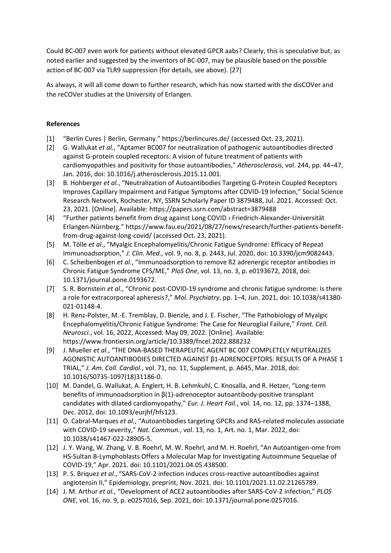Could BC-007 even work for patients without elevated GPCR aabs? Clearly, this is speculative but, as noted earlier and suggested by the inventors of BC-007, may be plausible based on the possible action of BC-007 via TLR9 suppression (for details, see above). [27]

As always, it will all come down to further research, which has now started with the disCOVer and the reCOVer studies at the University of Erlangen.

## **References**

- [1] "Berlin Cures | Berlin, Germany." https://berlincures.de/ (accessed Oct. 23, 2021).
- [2] G. Wallukat *et al.*, "Aptamer BC007 for neutralization of pathogenic autoantibodies directed against G-protein coupled receptors: A vision of future treatment of patients with cardiomyopathies and positivity for those autoantibodies," *Atherosclerosis*, vol. 244, pp. 44–47, Jan. 2016, doi: 10.1016/j.atherosclerosis.2015.11.001.
- [3] B. Hohberger *et al.*, "Neutralization of Autoantibodies Targeting G-Protein Coupled Receptors Improves Capillary Impairment and Fatigue Symptoms after COVID-19 Infection," Social Science Research Network, Rochester, NY, SSRN Scholarly Paper ID 3879488, Jul. 2021. Accessed: Oct. 23, 2021. [Online]. Available: https://papers.ssrn.com/abstract=3879488
- [4] "Further patients benefit from drug against Long COVID › Friedrich-Alexander-Universität Erlangen-Nürnberg." https://www.fau.eu/2021/08/27/news/research/further-patients-benefitfrom-drug-against-long-covid/ (accessed Oct. 23, 2021).
- [5] M. Tölle *et al.*, "Myalgic Encephalomyelitis/Chronic Fatigue Syndrome: Efficacy of Repeat Immunoadsorption," *J. Clin. Med.*, vol. 9, no. 8, p. 2443, Jul. 2020, doi: 10.3390/jcm9082443.
- [6] C. Scheibenbogen *et al.*, "Immunoadsorption to remove ß2 adrenergic receptor antibodies in Chronic Fatigue Syndrome CFS/ME," *PloS One*, vol. 13, no. 3, p. e0193672, 2018, doi: 10.1371/journal.pone.0193672.
- [7] S. R. Bornstein *et al.*, "Chronic post-COVID-19 syndrome and chronic fatigue syndrome: Is there a role for extracorporeal apheresis?," *Mol. Psychiatry*, pp. 1–4, Jun. 2021, doi: 10.1038/s41380- 021-01148-4.
- [8] H. Renz-Polster, M.-E. Tremblay, D. Bienzle, and J. E. Fischer, "The Pathobiology of Myalgic Encephalomyelitis/Chronic Fatigue Syndrome: The Case for Neuroglial Failure," *Front. Cell. Neurosci.*, vol. 16, 2022, Accessed: May 09, 2022. [Online]. Available: https://www.frontiersin.org/article/10.3389/fncel.2022.888232
- [9] J. Mueller *et al.*, "THE DNA-BASED THERAPEUTIC AGENT BC 007 COMPLETELY NEUTRALIZES AGONISTIC AUTOANTIBODIES DIRECTED AGAINST β1-ADRENOCEPTORS: RESULTS OF A PHASE 1 TRIAL," *J. Am. Coll. Cardiol.*, vol. 71, no. 11, Supplement, p. A645, Mar. 2018, doi: 10.1016/S0735-1097(18)31186-0.
- [10] M. Dandel, G. Wallukat, A. Englert, H. B. Lehmkuhl, C. Knosalla, and R. Hetzer, "Long-term benefits of immunoadsorption in β(1)-adrenoceptor autoantibody-positive transplant candidates with dilated cardiomyopathy," *Eur. J. Heart Fail.*, vol. 14, no. 12, pp. 1374–1388, Dec. 2012, doi: 10.1093/eurjhf/hfs123.
- [11] O. Cabral-Marques *et al.*, "Autoantibodies targeting GPCRs and RAS-related molecules associate with COVID-19 severity," *Nat. Commun.*, vol. 13, no. 1, Art. no. 1, Mar. 2022, doi: 10.1038/s41467-022-28905-5.
- [12] J. Y. Wang, W. Zhang, V. B. Roehrl, M. W. Roehrl, and M. H. Roehrl, "An Autoantigen-ome from HS-Sultan B-Lymphoblasts Offers a Molecular Map for Investigating Autoimmune Sequelae of COVID-19," Apr. 2021. doi: 10.1101/2021.04.05.438500.
- [13] P. S. Briquez *et al.*, "SARS-CoV-2 infection induces cross-reactive autoantibodies against angiotensin II," Epidemiology, preprint, Nov. 2021. doi: 10.1101/2021.11.02.21265789.
- [14] J. M. Arthur *et al.*, "Development of ACE2 autoantibodies after SARS-CoV-2 infection," *PLOS ONE*, vol. 16, no. 9, p. e0257016, Sep. 2021, doi: 10.1371/journal.pone.0257016.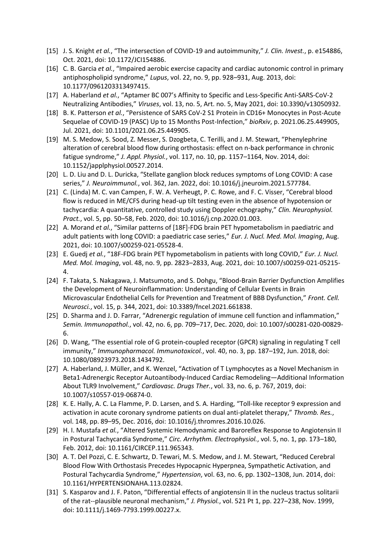- [15] J. S. Knight *et al.*, "The intersection of COVID-19 and autoimmunity," *J. Clin. Invest.*, p. e154886, Oct. 2021, doi: 10.1172/JCI154886.
- [16] C. B. Garcia *et al.*, "Impaired aerobic exercise capacity and cardiac autonomic control in primary antiphospholipid syndrome," *Lupus*, vol. 22, no. 9, pp. 928–931, Aug. 2013, doi: 10.1177/0961203313497415.
- [17] A. Haberland *et al.*, "Aptamer BC 007's Affinity to Specific and Less-Specific Anti-SARS-CoV-2 Neutralizing Antibodies," *Viruses*, vol. 13, no. 5, Art. no. 5, May 2021, doi: 10.3390/v13050932.
- [18] B. K. Patterson *et al.*, "Persistence of SARS CoV-2 S1 Protein in CD16+ Monocytes in Post-Acute Sequelae of COVID-19 (PASC) Up to 15 Months Post-Infection," *bioRxiv*, p. 2021.06.25.449905, Jul. 2021, doi: 10.1101/2021.06.25.449905.
- [19] M. S. Medow, S. Sood, Z. Messer, S. Dzogbeta, C. Terilli, and J. M. Stewart, "Phenylephrine alteration of cerebral blood flow during orthostasis: effect on n-back performance in chronic fatigue syndrome," *J. Appl. Physiol.*, vol. 117, no. 10, pp. 1157–1164, Nov. 2014, doi: 10.1152/japplphysiol.00527.2014.
- [20] L. D. Liu and D. L. Duricka, "Stellate ganglion block reduces symptoms of Long COVID: A case series," *J. Neuroimmunol.*, vol. 362, Jan. 2022, doi: 10.1016/j.jneuroim.2021.577784.
- [21] C. (Linda) M. C. van Campen, F. W. A. Verheugt, P. C. Rowe, and F. C. Visser, "Cerebral blood flow is reduced in ME/CFS during head-up tilt testing even in the absence of hypotension or tachycardia: A quantitative, controlled study using Doppler echography," *Clin. Neurophysiol. Pract.*, vol. 5, pp. 50–58, Feb. 2020, doi: 10.1016/j.cnp.2020.01.003.
- [22] A. Morand *et al.*, "Similar patterns of [18F]-FDG brain PET hypometabolism in paediatric and adult patients with long COVID: a paediatric case series," *Eur. J. Nucl. Med. Mol. Imaging*, Aug. 2021, doi: 10.1007/s00259-021-05528-4.
- [23] E. Guedj *et al.*, "18F-FDG brain PET hypometabolism in patients with long COVID," *Eur. J. Nucl. Med. Mol. Imaging*, vol. 48, no. 9, pp. 2823–2833, Aug. 2021, doi: 10.1007/s00259-021-05215- 4.
- [24] F. Takata, S. Nakagawa, J. Matsumoto, and S. Dohgu, "Blood-Brain Barrier Dysfunction Amplifies the Development of Neuroinflammation: Understanding of Cellular Events in Brain Microvascular Endothelial Cells for Prevention and Treatment of BBB Dysfunction," *Front. Cell. Neurosci.*, vol. 15, p. 344, 2021, doi: 10.3389/fncel.2021.661838.
- [25] D. Sharma and J. D. Farrar, "Adrenergic regulation of immune cell function and inflammation," *Semin. Immunopathol.*, vol. 42, no. 6, pp. 709–717, Dec. 2020, doi: 10.1007/s00281-020-00829- 6.
- [26] D. Wang, "The essential role of G protein-coupled receptor (GPCR) signaling in regulating T cell immunity," *Immunopharmacol. Immunotoxicol.*, vol. 40, no. 3, pp. 187–192, Jun. 2018, doi: 10.1080/08923973.2018.1434792.
- [27] A. Haberland, J. Müller, and K. Wenzel, "Activation of T Lymphocytes as a Novel Mechanism in Beta1-Adrenergic Receptor Autoantibody-Induced Cardiac Remodeling—Additional Information About TLR9 Involvement," *Cardiovasc. Drugs Ther.*, vol. 33, no. 6, p. 767, 2019, doi: 10.1007/s10557-019-06874-0.
- [28] K. E. Hally, A. C. La Flamme, P. D. Larsen, and S. A. Harding, "Toll-like receptor 9 expression and activation in acute coronary syndrome patients on dual anti-platelet therapy," *Thromb. Res.*, vol. 148, pp. 89–95, Dec. 2016, doi: 10.1016/j.thromres.2016.10.026.
- [29] H. I. Mustafa *et al.*, "Altered Systemic Hemodynamic and Baroreflex Response to Angiotensin II in Postural Tachycardia Syndrome," *Circ. Arrhythm. Electrophysiol.*, vol. 5, no. 1, pp. 173–180, Feb. 2012, doi: 10.1161/CIRCEP.111.965343.
- [30] A. T. Del Pozzi, C. E. Schwartz, D. Tewari, M. S. Medow, and J. M. Stewart, "Reduced Cerebral Blood Flow With Orthostasis Precedes Hypocapnic Hyperpnea, Sympathetic Activation, and Postural Tachycardia Syndrome," *Hypertension*, vol. 63, no. 6, pp. 1302–1308, Jun. 2014, doi: 10.1161/HYPERTENSIONAHA.113.02824.
- [31] S. Kasparov and J. F. Paton, "Differential effects of angiotensin II in the nucleus tractus solitarii of the rat--plausible neuronal mechanism," *J. Physiol.*, vol. 521 Pt 1, pp. 227–238, Nov. 1999, doi: 10.1111/j.1469-7793.1999.00227.x.